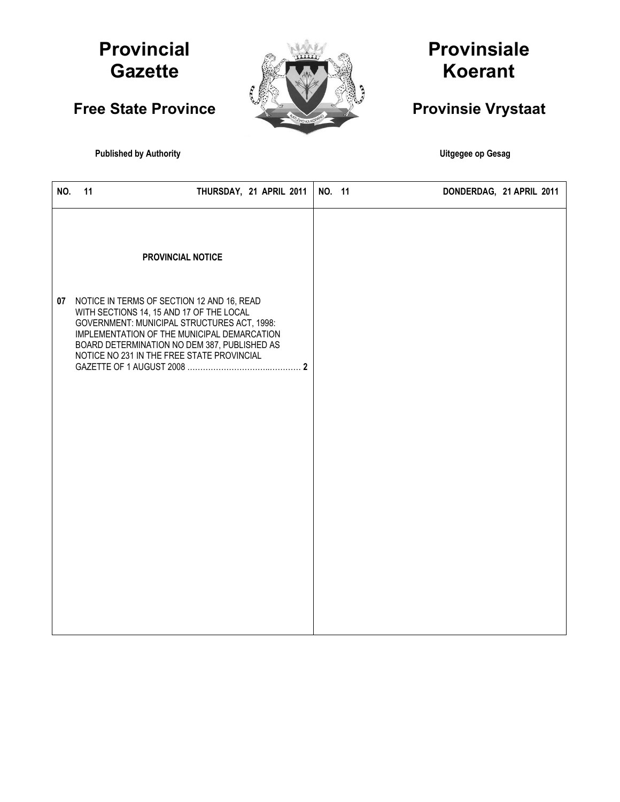## **Provincial Gazette**

**Free State Province** 



# **Provinsiale Koerant**

## **Provinsie Vrystaat**

**Published by Authority Contract and Server Authority Contract and Server Authority Contract and Server Authority** 

| NO.<br>11 | THURSDAY, 21 APRIL 2011 |                                                                                                                                                                                                                                                                                                            |        | DONDERDAG, 21 APRIL 2011 |
|-----------|-------------------------|------------------------------------------------------------------------------------------------------------------------------------------------------------------------------------------------------------------------------------------------------------------------------------------------------------|--------|--------------------------|
|           |                         |                                                                                                                                                                                                                                                                                                            |        |                          |
|           |                         |                                                                                                                                                                                                                                                                                                            |        |                          |
|           |                         |                                                                                                                                                                                                                                                                                                            |        |                          |
|           |                         | PROVINCIAL NOTICE<br>07 NOTICE IN TERMS OF SECTION 12 AND 16, READ<br>WITH SECTIONS 14, 15 AND 17 OF THE LOCAL<br>GOVERNMENT: MUNICIPAL STRUCTURES ACT, 1998:<br>IMPLEMENTATION OF THE MUNICIPAL DEMARCATION<br>BOARD DETERMINATION NO DEM 387, PUBLISHED AS<br>NOTICE NO 231 IN THE FREE STATE PROVINCIAL | NO. 11 |                          |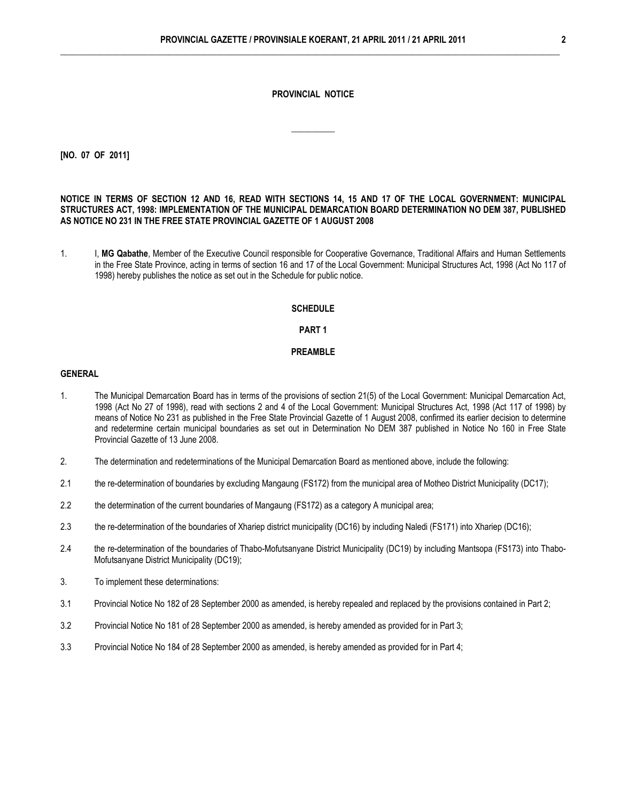### **PROVINCIAL NOTICE**

\_\_\_\_\_\_\_\_\_\_

**[NO. 07 OF 2011]**

## **NOTICE IN TERMS OF SECTION 12 AND 16, READ WITH SECTIONS 14, 15 AND 17 OF THE LOCAL GOVERNMENT: MUNICIPAL STRUCTURES ACT, 1998: IMPLEMENTATION OF THE MUNICIPAL DEMARCATION BOARD DETERMINATION NO DEM 387, PUBLISHED AS NOTICE NO 231 IN THE FREE STATE PROVINCIAL GAZETTE OF 1 AUGUST 2008**

1. I, **MG Qabathe**, Member of the Executive Council responsible for Cooperative Governance, Traditional Affairs and Human Settlements in the Free State Province, acting in terms of section 16 and 17 of the Local Government: Municipal Structures Act, 1998 (Act No 117 of 1998) hereby publishes the notice as set out in the Schedule for public notice.

#### **SCHEDULE**

## **PART 1**

## **PREAMBLE**

#### **GENERAL**

- 1. The Municipal Demarcation Board has in terms of the provisions of section 21(5) of the Local Government: Municipal Demarcation Act, 1998 (Act No 27 of 1998), read with sections 2 and 4 of the Local Government: Municipal Structures Act, 1998 (Act 117 of 1998) by means of Notice No 231 as published in the Free State Provincial Gazette of 1 August 2008, confirmed its earlier decision to determine and redetermine certain municipal boundaries as set out in Determination No DEM 387 published in Notice No 160 in Free State Provincial Gazette of 13 June 2008.
- 2. The determination and redeterminations of the Municipal Demarcation Board as mentioned above, include the following:
- 2.1 the re-determination of boundaries by excluding Mangaung (FS172) from the municipal area of Motheo District Municipality (DC17);
- 2.2 the determination of the current boundaries of Mangaung (FS172) as a category A municipal area;
- 2.3 the re-determination of the boundaries of Xhariep district municipality (DC16) by including Naledi (FS171) into Xhariep (DC16);
- 2.4 the re-determination of the boundaries of Thabo-Mofutsanyane District Municipality (DC19) by including Mantsopa (FS173) into Thabo-Mofutsanyane District Municipality (DC19);
- 3. To implement these determinations:
- 3.1 Provincial Notice No 182 of 28 September 2000 as amended, is hereby repealed and replaced by the provisions contained in Part 2;
- 3.2 Provincial Notice No 181 of 28 September 2000 as amended, is hereby amended as provided for in Part 3;
- 3.3 Provincial Notice No 184 of 28 September 2000 as amended, is hereby amended as provided for in Part 4;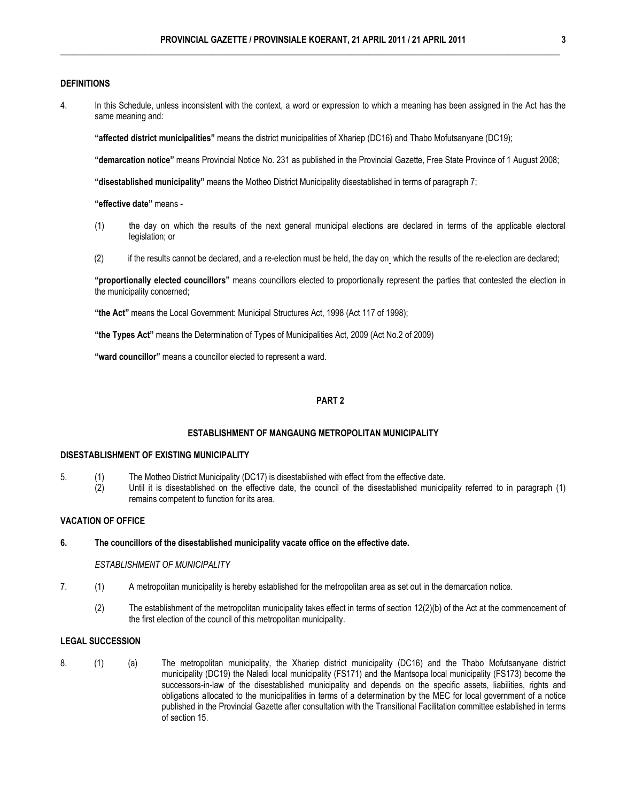## **DEFINITIONS**

4. In this Schedule, unless inconsistent with the context, a word or expression to which a meaning has been assigned in the Act has the same meaning and:

**"affected district municipalities"** means the district municipalities of Xhariep (DC16) and Thabo Mofutsanyane (DC19);

**"demarcation notice"** means Provincial Notice No. 231 as published in the Provincial Gazette, Free State Province of 1 August 2008;

**"disestablished municipality"** means the Motheo District Municipality disestablished in terms of paragraph 7;

**"effective date"** means -

- (1) the day on which the results of the next general municipal elections are declared in terms of the applicable electoral legislation; or
- (2) if the results cannot be declared, and a re-election must be held, the day on which the results of the re-election are declared;

**"proportionally elected councillors"** means councillors elected to proportionally represent the parties that contested the election in the municipality concerned;

**"the Act"** means the Local Government: Municipal Structures Act, 1998 (Act 117 of 1998);

**"the Types Act"** means the Determination of Types of Municipalities Act, 2009 (Act No.2 of 2009)

**"ward councillor"** means a councillor elected to represent a ward.

## **PART 2**

## **ESTABLISHMENT OF MANGAUNG METROPOLITAN MUNICIPALITY**

#### **DISESTABLISHMENT OF EXISTING MUNICIPALITY**

- 5. (1) The Motheo District Municipality (DC17) is disestablished with effect from the effective date.
	- (2) Until it is disestablished on the effective date, the council of the disestablished municipality referred to in paragraph (1) remains competent to function for its area.

## **VACATION OF OFFICE**

#### **6. The councillors of the disestablished municipality vacate office on the effective date.**

#### *ESTABLISHMENT OF MUNICIPALITY*

- 7. (1) A metropolitan municipality is hereby established for the metropolitan area as set out in the demarcation notice.
	- (2) The establishment of the metropolitan municipality takes effect in terms of section 12(2)(b) of the Act at the commencement of the first election of the council of this metropolitan municipality.

## **LEGAL SUCCESSION**

8. (1) (a) The metropolitan municipality, the Xhariep district municipality (DC16) and the Thabo Mofutsanyane district municipality (DC19) the Naledi local municipality (FS171) and the Mantsopa local municipality (FS173) become the successors-in-law of the disestablished municipality and depends on the specific assets, liabilities, rights and obligations allocated to the municipalities in terms of a determination by the MEC for local government of a notice published in the Provincial Gazette after consultation with the Transitional Facilitation committee established in terms of section 15.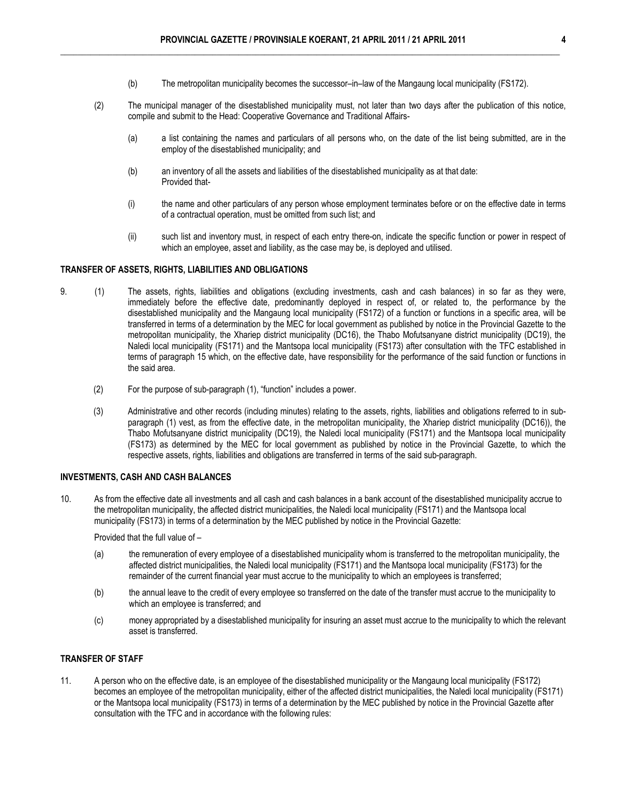- (b) The metropolitan municipality becomes the successor–in–law of the Mangaung local municipality (FS172).
- (2) The municipal manager of the disestablished municipality must, not later than two days after the publication of this notice, compile and submit to the Head: Cooperative Governance and Traditional Affairs-
	- (a) a list containing the names and particulars of all persons who, on the date of the list being submitted, are in the employ of the disestablished municipality; and
	- (b) an inventory of all the assets and liabilities of the disestablished municipality as at that date: Provided that-
	- (i) the name and other particulars of any person whose employment terminates before or on the effective date in terms of a contractual operation, must be omitted from such list; and
	- (ii) such list and inventory must, in respect of each entry there-on, indicate the specific function or power in respect of which an employee, asset and liability, as the case may be, is deployed and utilised.

## **TRANSFER OF ASSETS, RIGHTS, LIABILITIES AND OBLIGATIONS**

- 9. (1) The assets, rights, liabilities and obligations (excluding investments, cash and cash balances) in so far as they were, immediately before the effective date, predominantly deployed in respect of, or related to, the performance by the disestablished municipality and the Mangaung local municipality (FS172) of a function or functions in a specific area, will be transferred in terms of a determination by the MEC for local government as published by notice in the Provincial Gazette to the metropolitan municipality, the Xhariep district municipality (DC16), the Thabo Mofutsanyane district municipality (DC19), the Naledi local municipality (FS171) and the Mantsopa local municipality (FS173) after consultation with the TFC established in terms of paragraph 15 which, on the effective date, have responsibility for the performance of the said function or functions in the said area.
	- (2) For the purpose of sub-paragraph (1), "function" includes a power.
	- (3) Administrative and other records (including minutes) relating to the assets, rights, liabilities and obligations referred to in subparagraph (1) vest, as from the effective date, in the metropolitan municipality, the Xhariep district municipality (DC16)), the Thabo Mofutsanyane district municipality (DC19), the Naledi local municipality (FS171) and the Mantsopa local municipality (FS173) as determined by the MEC for local government as published by notice in the Provincial Gazette, to which the respective assets, rights, liabilities and obligations are transferred in terms of the said sub-paragraph.

#### **INVESTMENTS, CASH AND CASH BALANCES**

10. As from the effective date all investments and all cash and cash balances in a bank account of the disestablished municipality accrue to the metropolitan municipality, the affected district municipalities, the Naledi local municipality (FS171) and the Mantsopa local municipality (FS173) in terms of a determination by the MEC published by notice in the Provincial Gazette:

Provided that the full value of –

- (a) the remuneration of every employee of a disestablished municipality whom is transferred to the metropolitan municipality, the affected district municipalities, the Naledi local municipality (FS171) and the Mantsopa local municipality (FS173) for the remainder of the current financial year must accrue to the municipality to which an employees is transferred;
- (b) the annual leave to the credit of every employee so transferred on the date of the transfer must accrue to the municipality to which an employee is transferred; and
- (c) money appropriated by a disestablished municipality for insuring an asset must accrue to the municipality to which the relevant asset is transferred.

## **TRANSFER OF STAFF**

11. A person who on the effective date, is an employee of the disestablished municipality or the Mangaung local municipality (FS172) becomes an employee of the metropolitan municipality, either of the affected district municipalities, the Naledi local municipality (FS171) or the Mantsopa local municipality (FS173) in terms of a determination by the MEC published by notice in the Provincial Gazette after consultation with the TFC and in accordance with the following rules: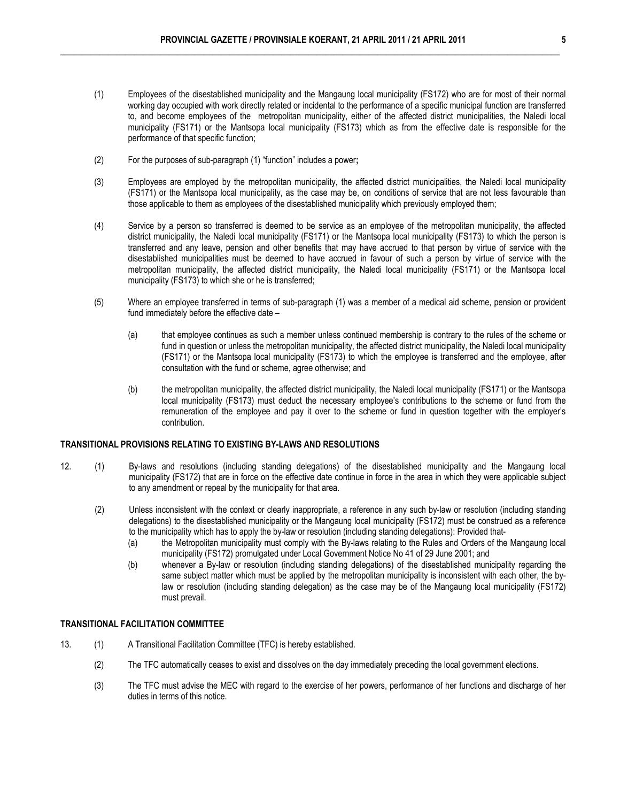- (1) Employees of the disestablished municipality and the Mangaung local municipality (FS172) who are for most of their normal working day occupied with work directly related or incidental to the performance of a specific municipal function are transferred to, and become employees of the metropolitan municipality, either of the affected district municipalities, the Naledi local municipality (FS171) or the Mantsopa local municipality (FS173) which as from the effective date is responsible for the performance of that specific function;
- (2) For the purposes of sub-paragraph (1) "function" includes a power**;**
- (3) Employees are employed by the metropolitan municipality, the affected district municipalities, the Naledi local municipality (FS171) or the Mantsopa local municipality, as the case may be, on conditions of service that are not less favourable than those applicable to them as employees of the disestablished municipality which previously employed them;
- (4) Service by a person so transferred is deemed to be service as an employee of the metropolitan municipality, the affected district municipality, the Naledi local municipality (FS171) or the Mantsopa local municipality (FS173) to which the person is transferred and any leave, pension and other benefits that may have accrued to that person by virtue of service with the disestablished municipalities must be deemed to have accrued in favour of such a person by virtue of service with the metropolitan municipality, the affected district municipality, the Naledi local municipality (FS171) or the Mantsopa local municipality (FS173) to which she or he is transferred;
- (5) Where an employee transferred in terms of sub-paragraph (1) was a member of a medical aid scheme, pension or provident fund immediately before the effective date –
	- (a) that employee continues as such a member unless continued membership is contrary to the rules of the scheme or fund in question or unless the metropolitan municipality, the affected district municipality, the Naledi local municipality (FS171) or the Mantsopa local municipality (FS173) to which the employee is transferred and the employee, after consultation with the fund or scheme, agree otherwise; and
	- (b) the metropolitan municipality, the affected district municipality, the Naledi local municipality (FS171) or the Mantsopa local municipality (FS173) must deduct the necessary employee's contributions to the scheme or fund from the remuneration of the employee and pay it over to the scheme or fund in question together with the employer's contribution.

## **TRANSITIONAL PROVISIONS RELATING TO EXISTING BY-LAWS AND RESOLUTIONS**

- 12. (1) By-laws and resolutions (including standing delegations) of the disestablished municipality and the Mangaung local municipality (FS172) that are in force on the effective date continue in force in the area in which they were applicable subject to any amendment or repeal by the municipality for that area.
	- (2) Unless inconsistent with the context or clearly inappropriate, a reference in any such by-law or resolution (including standing delegations) to the disestablished municipality or the Mangaung local municipality (FS172) must be construed as a reference to the municipality which has to apply the by-law or resolution (including standing delegations): Provided that-
		- (a) the Metropolitan municipality must comply with the By-laws relating to the Rules and Orders of the Mangaung local municipality (FS172) promulgated under Local Government Notice No 41 of 29 June 2001; and
		- (b) whenever a By-law or resolution (including standing delegations) of the disestablished municipality regarding the same subject matter which must be applied by the metropolitan municipality is inconsistent with each other, the bylaw or resolution (including standing delegation) as the case may be of the Mangaung local municipality (FS172) must prevail.

## **TRANSITIONAL FACILITATION COMMITTEE**

- 13. (1) A Transitional Facilitation Committee (TFC) is hereby established.
	- (2) The TFC automatically ceases to exist and dissolves on the day immediately preceding the local government elections.
	- (3) The TFC must advise the MEC with regard to the exercise of her powers, performance of her functions and discharge of her duties in terms of this notice.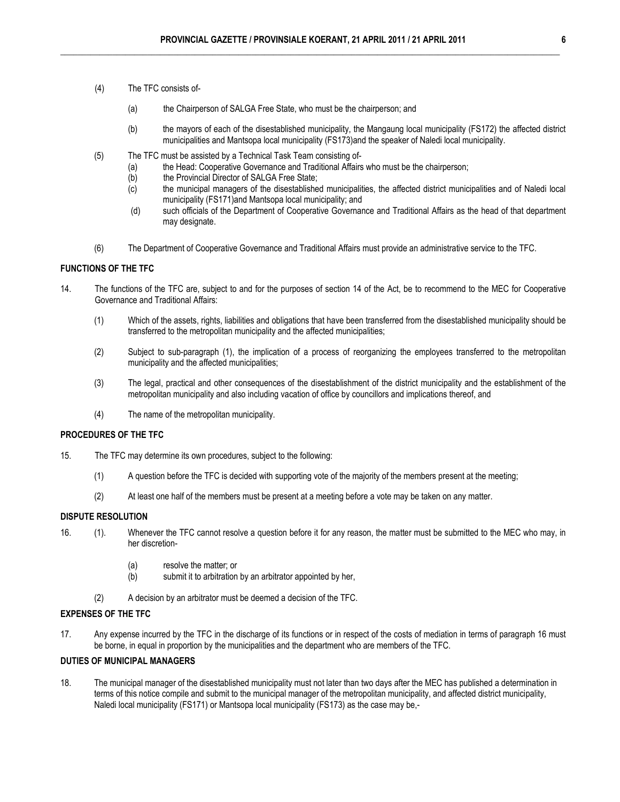- (4) The TFC consists of-
	- (a) the Chairperson of SALGA Free State, who must be the chairperson; and
	- (b) the mayors of each of the disestablished municipality, the Mangaung local municipality (FS172) the affected district municipalities and Mantsopa local municipality (FS173)and the speaker of Naledi local municipality.
- (5) The TFC must be assisted by a Technical Task Team consisting of-
	- (a) the Head: Cooperative Governance and Traditional Affairs who must be the chairperson;<br>(b) the Provincial Director of SALGA Free State;
	- the Provincial Director of SALGA Free State;
	- (c) the municipal managers of the disestablished municipalities, the affected district municipalities and of Naledi local municipality (FS171)and Mantsopa local municipality; and
	- (d) such officials of the Department of Cooperative Governance and Traditional Affairs as the head of that department may designate.
- (6) The Department of Cooperative Governance and Traditional Affairs must provide an administrative service to the TFC.

## **FUNCTIONS OF THE TFC**

- 14. The functions of the TFC are, subject to and for the purposes of section 14 of the Act, be to recommend to the MEC for Cooperative Governance and Traditional Affairs:
	- (1) Which of the assets, rights, liabilities and obligations that have been transferred from the disestablished municipality should be transferred to the metropolitan municipality and the affected municipalities;
	- (2) Subject to sub-paragraph (1), the implication of a process of reorganizing the employees transferred to the metropolitan municipality and the affected municipalities;
	- (3) The legal, practical and other consequences of the disestablishment of the district municipality and the establishment of the metropolitan municipality and also including vacation of office by councillors and implications thereof, and
	- (4) The name of the metropolitan municipality.

## **PROCEDURES OF THE TFC**

- 15. The TFC may determine its own procedures, subject to the following:
	- (1) A question before the TFC is decided with supporting vote of the majority of the members present at the meeting;
	- (2) At least one half of the members must be present at a meeting before a vote may be taken on any matter.

## **DISPUTE RESOLUTION**

- 16. (1). Whenever the TFC cannot resolve a question before it for any reason, the matter must be submitted to the MEC who may, in her discretion-
	- (a) resolve the matter; or
	- (b) submit it to arbitration by an arbitrator appointed by her,
	- (2) A decision by an arbitrator must be deemed a decision of the TFC.

## **EXPENSES OF THE TFC**

17. Any expense incurred by the TFC in the discharge of its functions or in respect of the costs of mediation in terms of paragraph 16 must be borne, in equal in proportion by the municipalities and the department who are members of the TFC.

## **DUTIES OF MUNICIPAL MANAGERS**

18. The municipal manager of the disestablished municipality must not later than two days after the MEC has published a determination in terms of this notice compile and submit to the municipal manager of the metropolitan municipality, and affected district municipality, Naledi local municipality (FS171) or Mantsopa local municipality (FS173) as the case may be,-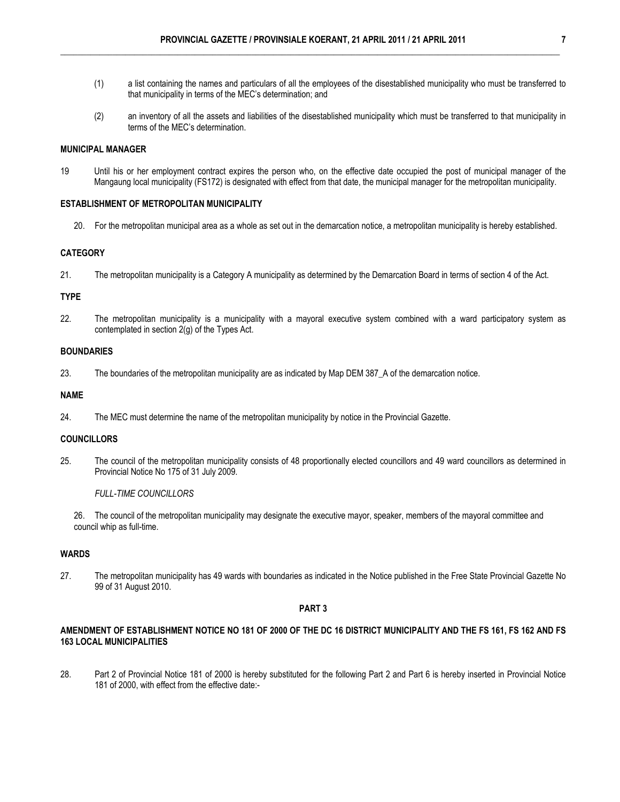- (1) a list containing the names and particulars of all the employees of the disestablished municipality who must be transferred to that municipality in terms of the MEC's determination; and
- (2) an inventory of all the assets and liabilities of the disestablished municipality which must be transferred to that municipality in terms of the MEC's determination.

## **MUNICIPAL MANAGER**

19 Until his or her employment contract expires the person who, on the effective date occupied the post of municipal manager of the Mangaung local municipality (FS172) is designated with effect from that date, the municipal manager for the metropolitan municipality.

## **ESTABLISHMENT OF METROPOLITAN MUNICIPALITY**

20. For the metropolitan municipal area as a whole as set out in the demarcation notice, a metropolitan municipality is hereby established.

## **CATEGORY**

21. The metropolitan municipality is a Category A municipality as determined by the Demarcation Board in terms of section 4 of the Act.

## **TYPE**

22. The metropolitan municipality is a municipality with a mayoral executive system combined with a ward participatory system as contemplated in section 2(g) of the Types Act.

#### **BOUNDARIES**

23. The boundaries of the metropolitan municipality are as indicated by Map DEM 387\_A of the demarcation notice.

## **NAME**

24. The MEC must determine the name of the metropolitan municipality by notice in the Provincial Gazette.

## **COUNCILLORS**

25. The council of the metropolitan municipality consists of 48 proportionally elected councillors and 49 ward councillors as determined in Provincial Notice No 175 of 31 July 2009.

## *FULL-TIME COUNCILLORS*

26. The council of the metropolitan municipality may designate the executive mayor, speaker, members of the mayoral committee and council whip as full-time.

## **WARDS**

27. The metropolitan municipality has 49 wards with boundaries as indicated in the Notice published in the Free State Provincial Gazette No 99 of 31 August 2010.

## **PART 3**

## **AMENDMENT OF ESTABLISHMENT NOTICE NO 181 OF 2000 OF THE DC 16 DISTRICT MUNICIPALITY AND THE FS 161, FS 162 AND FS 163 LOCAL MUNICIPALITIES**

28. Part 2 of Provincial Notice 181 of 2000 is hereby substituted for the following Part 2 and Part 6 is hereby inserted in Provincial Notice 181 of 2000, with effect from the effective date:-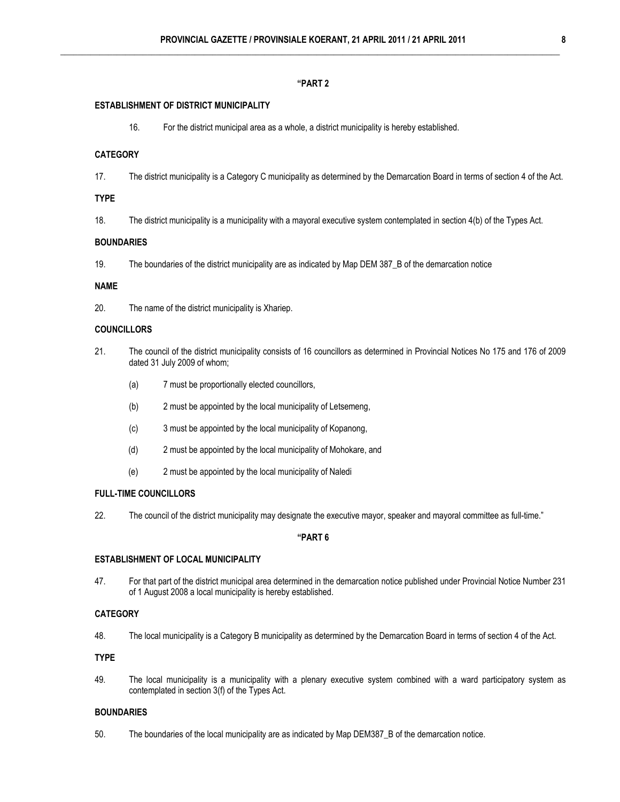## **"PART 2**

#### **ESTABLISHMENT OF DISTRICT MUNICIPALITY**

16. For the district municipal area as a whole, a district municipality is hereby established.

### **CATEGORY**

17. The district municipality is a Category C municipality as determined by the Demarcation Board in terms of section 4 of the Act.

#### **TYPE**

18. The district municipality is a municipality with a mayoral executive system contemplated in section 4(b) of the Types Act.

### **BOUNDARIES**

19. The boundaries of the district municipality are as indicated by Map DEM 387\_B of the demarcation notice

## **NAME**

20. The name of the district municipality is Xhariep.

### **COUNCILLORS**

- 21. The council of the district municipality consists of 16 councillors as determined in Provincial Notices No 175 and 176 of 2009 dated 31 July 2009 of whom;
	- (a) 7 must be proportionally elected councillors,
	- (b) 2 must be appointed by the local municipality of Letsemeng,
	- (c) 3 must be appointed by the local municipality of Kopanong,
	- (d) 2 must be appointed by the local municipality of Mohokare, and
	- (e) 2 must be appointed by the local municipality of Naledi

#### **FULL-TIME COUNCILLORS**

22. The council of the district municipality may designate the executive mayor, speaker and mayoral committee as full-time."

## **"PART 6**

## **ESTABLISHMENT OF LOCAL MUNICIPALITY**

47. For that part of the district municipal area determined in the demarcation notice published under Provincial Notice Number 231 of 1 August 2008 a local municipality is hereby established.

## **CATEGORY**

48. The local municipality is a Category B municipality as determined by the Demarcation Board in terms of section 4 of the Act.

**TYPE** 

49. The local municipality is a municipality with a plenary executive system combined with a ward participatory system as contemplated in section 3(f) of the Types Act.

#### **BOUNDARIES**

50. The boundaries of the local municipality are as indicated by Map DEM387\_B of the demarcation notice.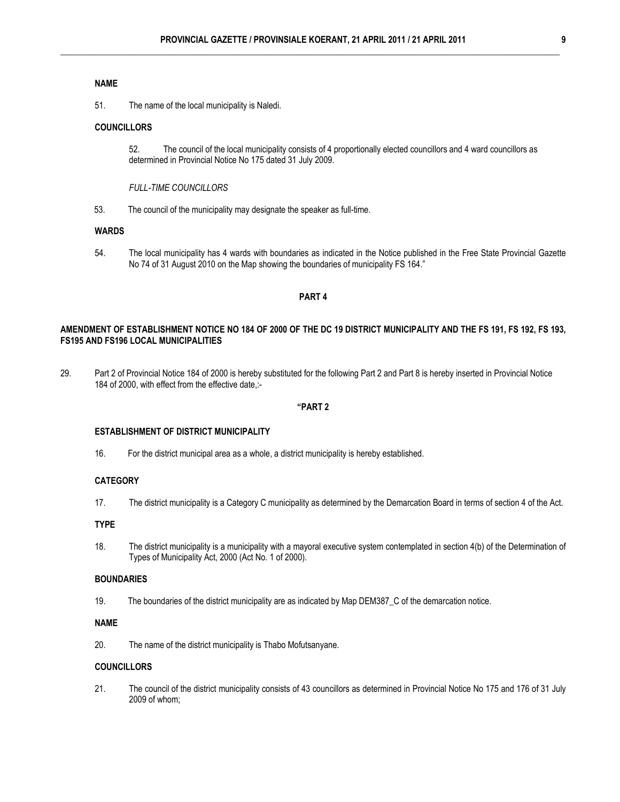## **NAME**

51. The name of the local municipality is Naledi.

## **COUNCILLORS**

52. The council of the local municipality consists of 4 proportionally elected councillors and 4 ward councillors as determined in Provincial Notice No 175 dated 31 July 2009.

*FULL-TIME COUNCILLORS* 

53. The council of the municipality may designate the speaker as full-time.

#### **WARDS**

54. The local municipality has 4 wards with boundaries as indicated in the Notice published in the Free State Provincial Gazette No 74 of 31 August 2010 on the Map showing the boundaries of municipality FS 164."

#### **PART 4**

## **AMENDMENT OF ESTABLISHMENT NOTICE NO 184 OF 2000 OF THE DC 19 DISTRICT MUNICIPALITY AND THE FS 191, FS 192, FS 193, FS195 AND FS196 LOCAL MUNICIPALITIES**

29. Part 2 of Provincial Notice 184 of 2000 is hereby substituted for the following Part 2 and Part 8 is hereby inserted in Provincial Notice 184 of 2000, with effect from the effective date,:-

## **"PART 2**

#### **ESTABLISHMENT OF DISTRICT MUNICIPALITY**

16. For the district municipal area as a whole, a district municipality is hereby established.

#### **CATEGORY**

17. The district municipality is a Category C municipality as determined by the Demarcation Board in terms of section 4 of the Act.

## **TYPE**

18. The district municipality is a municipality with a mayoral executive system contemplated in section 4(b) of the Determination of Types of Municipality Act, 2000 (Act No. 1 of 2000).

## **BOUNDARIES**

19. The boundaries of the district municipality are as indicated by Map DEM387\_C of the demarcation notice.

## **NAME**

20. The name of the district municipality is Thabo Mofutsanyane.

## **COUNCILLORS**

21. The council of the district municipality consists of 43 councillors as determined in Provincial Notice No 175 and 176 of 31 July 2009 of whom;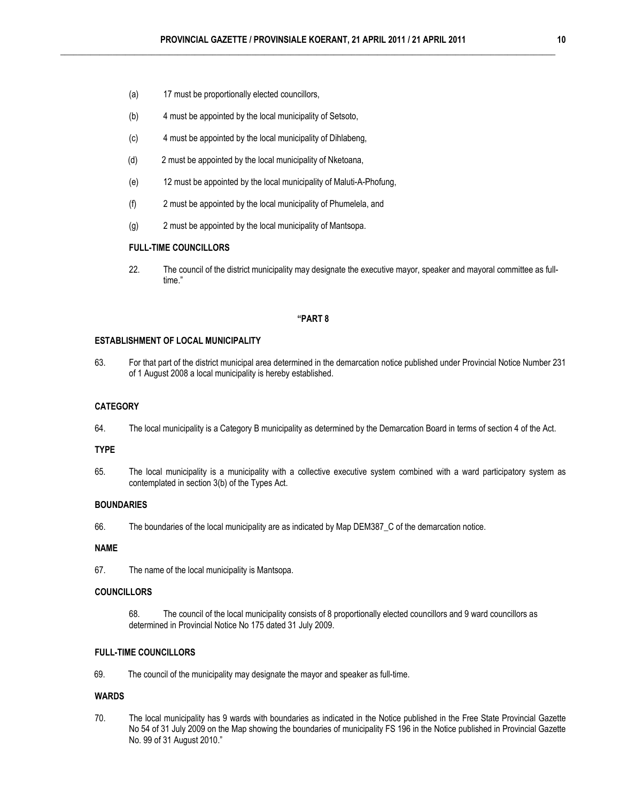- (a) 17 must be proportionally elected councillors,
- (b) 4 must be appointed by the local municipality of Setsoto,
- (c) 4 must be appointed by the local municipality of Dihlabeng,
- (d) 2 must be appointed by the local municipality of Nketoana,
- (e) 12 must be appointed by the local municipality of Maluti-A-Phofung,
- (f) 2 must be appointed by the local municipality of Phumelela, and
- (g) 2 must be appointed by the local municipality of Mantsopa.

#### **FULL-TIME COUNCILLORS**

22. The council of the district municipality may designate the executive mayor, speaker and mayoral committee as fulltime."

## **"PART 8**

#### **ESTABLISHMENT OF LOCAL MUNICIPALITY**

63. For that part of the district municipal area determined in the demarcation notice published under Provincial Notice Number 231 of 1 August 2008 a local municipality is hereby established.

## **CATEGORY**

64. The local municipality is a Category B municipality as determined by the Demarcation Board in terms of section 4 of the Act.

#### **TYPE**

65. The local municipality is a municipality with a collective executive system combined with a ward participatory system as contemplated in section 3(b) of the Types Act.

#### **BOUNDARIES**

66. The boundaries of the local municipality are as indicated by Map DEM387\_C of the demarcation notice.

#### **NAME**

67. The name of the local municipality is Mantsopa.

#### **COUNCILLORS**

68. The council of the local municipality consists of 8 proportionally elected councillors and 9 ward councillors as determined in Provincial Notice No 175 dated 31 July 2009.

#### **FULL-TIME COUNCILLORS**

69. The council of the municipality may designate the mayor and speaker as full-time.

## **WARDS**

70. The local municipality has 9 wards with boundaries as indicated in the Notice published in the Free State Provincial Gazette No 54 of 31 July 2009 on the Map showing the boundaries of municipality FS 196 in the Notice published in Provincial Gazette No. 99 of 31 August 2010."